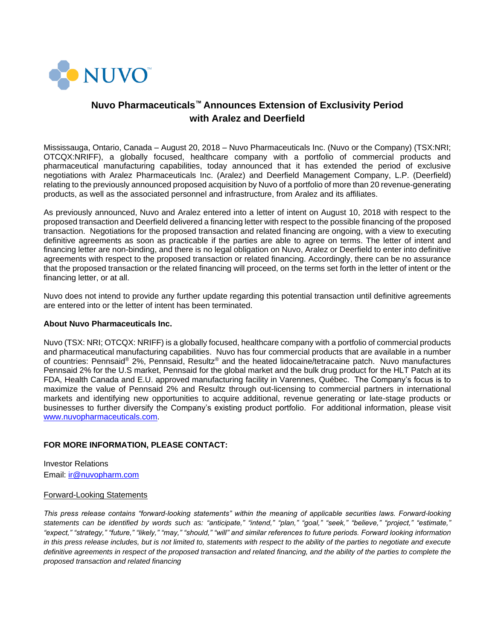

## **Nuvo Pharmaceuticals™ Announces Extension of Exclusivity Period with Aralez and Deerfield**

Mississauga, Ontario, Canada – August 20, 2018 – Nuvo Pharmaceuticals Inc. (Nuvo or the Company) (TSX:NRI; OTCQX:NRIFF), a globally focused, healthcare company with a portfolio of commercial products and pharmaceutical manufacturing capabilities, today announced that it has extended the period of exclusive negotiations with Aralez Pharmaceuticals Inc. (Aralez) and Deerfield Management Company, L.P. (Deerfield) relating to the previously announced proposed acquisition by Nuvo of a portfolio of more than 20 revenue-generating products, as well as the associated personnel and infrastructure, from Aralez and its affiliates.

As previously announced, Nuvo and Aralez entered into a letter of intent on August 10, 2018 with respect to the proposed transaction and Deerfield delivered a financing letter with respect to the possible financing of the proposed transaction. Negotiations for the proposed transaction and related financing are ongoing, with a view to executing definitive agreements as soon as practicable if the parties are able to agree on terms. The letter of intent and financing letter are non-binding, and there is no legal obligation on Nuvo, Aralez or Deerfield to enter into definitive agreements with respect to the proposed transaction or related financing. Accordingly, there can be no assurance that the proposed transaction or the related financing will proceed, on the terms set forth in the letter of intent or the financing letter, or at all.

Nuvo does not intend to provide any further update regarding this potential transaction until definitive agreements are entered into or the letter of intent has been terminated.

## **About Nuvo Pharmaceuticals Inc.**

Nuvo (TSX: NRI; OTCQX: NRIFF) is a globally focused, healthcare company with a portfolio of commercial products and pharmaceutical manufacturing capabilities. Nuvo has four commercial products that are available in a number of countries: Pennsaid® 2%, Pennsaid, Resultz® and the heated lidocaine/tetracaine patch. Nuvo manufactures Pennsaid 2% for the U.S market, Pennsaid for the global market and the bulk drug product for the HLT Patch at its FDA, Health Canada and E.U. approved manufacturing facility in Varennes, Québec. The Company's focus is to maximize the value of Pennsaid 2% and Resultz through out-licensing to commercial partners in international markets and identifying new opportunities to acquire additional, revenue generating or late-stage products or businesses to further diversify the Company's existing product portfolio. For additional information, please visit [www.nuvopharmaceuticals.com.](http://www.nuvopharmaceuticals.com/)

## **FOR MORE INFORMATION, PLEASE CONTACT:**

Investor Relations Email: [ir@nuvopharm.com](mailto:ir@nuvopharm.com)

## Forward-Looking Statements

*This press release contains "forward-looking statements" within the meaning of applicable securities laws. Forward-looking statements can be identified by words such as: "anticipate," "intend," "plan," "goal," "seek," "believe," "project," "estimate," "expect," "strategy," "future," "likely," "may," "should," "will" and similar references to future periods. Forward looking information in this press release includes, but is not limited to, statements with respect to the ability of the parties to negotiate and execute*  definitive agreements in respect of the proposed transaction and related financing, and the ability of the parties to complete the *proposed transaction and related financing*